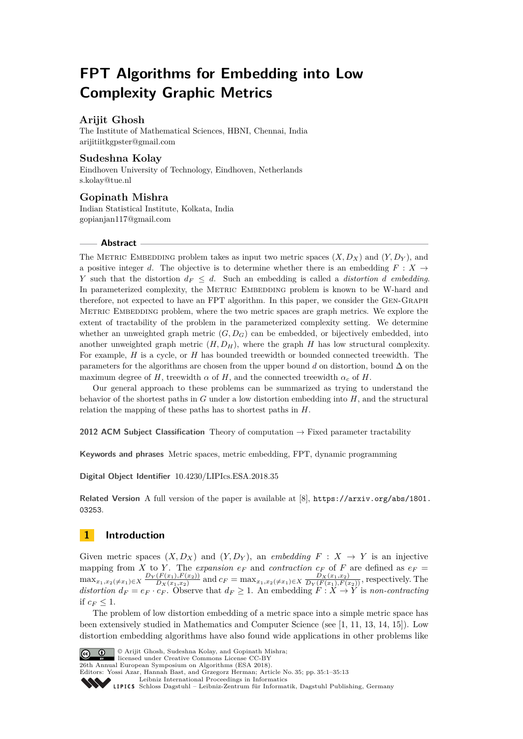# **FPT Algorithms for Embedding into Low Complexity Graphic Metrics**

### **Arijit Ghosh**

The Institute of Mathematical Sciences, HBNI, Chennai, India [arijitiitkgpster@gmail.com](mailto:arijitiitkgpster@gmail.com)

### **Sudeshna Kolay**

Eindhoven University of Technology, Eindhoven, Netherlands [s.kolay@tue.nl](mailto:s.kolay@tue.nl)

### **Gopinath Mishra**

Indian Statistical Institute, Kolkata, India [gopianjan117@gmail.com](mailto:gopianjan117@gmail.com)

### **Abstract**

The METRIC EMBEDDING problem takes as input two metric spaces  $(X, D_X)$  and  $(Y, D_Y)$ , and a positive integer *d*. The objective is to determine whether there is an embedding  $F : X \rightarrow$ *Y* such that the distortion  $d_F \leq d$ . Such an embedding is called a *distortion d embedding*. In parameterized complexity, the METRIC EMBEDDING problem is known to be W-hard and therefore, not expected to have an FPT algorithm. In this paper, we consider the Gen-Graph METRIC EMBEDDING problem, where the two metric spaces are graph metrics. We explore the extent of tractability of the problem in the parameterized complexity setting. We determine whether an unweighted graph metric  $(G, D_G)$  can be embedded, or bijectively embedded, into another unweighted graph metric  $(H, D_H)$ , where the graph *H* has low structural complexity. For example, *H* is a cycle, or *H* has bounded treewidth or bounded connected treewidth. The parameters for the algorithms are chosen from the upper bound *d* on distortion, bound ∆ on the maximum degree of *H*, treewidth  $\alpha$  of *H*, and the connected treewidth  $\alpha_c$  of *H*.

Our general approach to these problems can be summarized as trying to understand the behavior of the shortest paths in *G* under a low distortion embedding into *H*, and the structural relation the mapping of these paths has to shortest paths in *H*.

**2012 ACM Subject Classification** Theory of computation → Fixed parameter tractability

**Keywords and phrases** Metric spaces, metric embedding, FPT, dynamic programming

**Digital Object Identifier** [10.4230/LIPIcs.ESA.2018.35](http://dx.doi.org/10.4230/LIPIcs.ESA.2018.35)

**Related Version** A full version of the paper is available at [\[8\]](#page-12-0), [https://arxiv.org/abs/1801.](https://arxiv.org/abs/1801.03253) [03253](https://arxiv.org/abs/1801.03253).

## **1 Introduction**

Given metric spaces  $(X, D_X)$  and  $(Y, D_Y)$ , an *embedding*  $F : X \to Y$  is an injective mapping from *X* to *Y*. The *expansion*  $e_F$  and *contraction*  $c_F$  of *F* are defined as  $e_F =$  $\max_{x_1, x_2(\neq x_1)\in X} \frac{D_Y(F(x_1), F(x_2))}{D_X(x_1, x_2)}$  $\frac{D_X(x_1, x_2)}{D_X(x_1, x_2)}$  and  $c_F = \max_{x_1, x_2 \neq x_1 \in X} \frac{D_X(x_1, x_2)}{D_Y(F(x_1), F(x_2))}$ , respectively. The *distortion*  $d_F = e_F \cdot c_F$ . Observe that  $d_F \geq 1$ . An embedding  $\overline{F} : X \to Y$  is *non-contracting* if  $c_F \leq 1$ .

The problem of low distortion embedding of a metric space into a simple metric space has been extensively studied in Mathematics and Computer Science (see [\[1,](#page-12-1) [11,](#page-12-2) [13,](#page-12-3) [14,](#page-12-4) [15\]](#page-12-5)). Low distortion embedding algorithms have also found wide applications in other problems like



© Arijit Ghosh, Sudeshna Kolay, and Gopinath Mishra;

licensed under Creative Commons License CC-BY 26th Annual European Symposium on Algorithms (ESA 2018).

Editors: Yossi Azar, Hannah Bast, and Grzegorz Herman; Article No. 35; pp. 35:1–35[:13](#page-12-6)

[Leibniz International Proceedings in Informatics](http://www.dagstuhl.de/lipics/)

[Schloss Dagstuhl – Leibniz-Zentrum für Informatik, Dagstuhl Publishing, Germany](http://www.dagstuhl.de)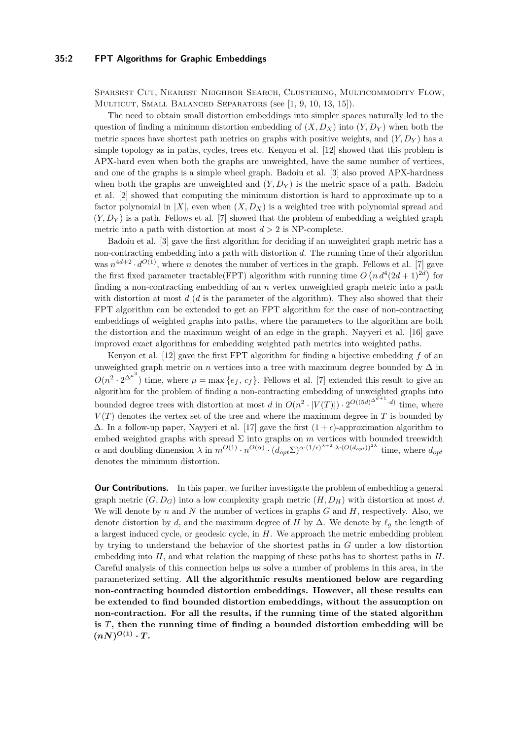Sparsest Cut, Nearest Neighbor Search, Clustering, Multicommodity Flow, Multicut, Small Balanced Separators (see [\[1,](#page-12-1) [9,](#page-12-7) [10,](#page-12-8) [13,](#page-12-3) [15\]](#page-12-5)).

The need to obtain small distortion embeddings into simpler spaces naturally led to the question of finding a minimum distortion embedding of  $(X, D_X)$  into  $(Y, D_Y)$  when both the metric spaces have shortest path metrics on graphs with positive weights, and (*Y, D<sup>Y</sup>* ) has a simple topology as in paths, cycles, trees etc. Kenyon et al. [\[12\]](#page-12-9) showed that this problem is APX-hard even when both the graphs are unweighted, have the same number of vertices, and one of the graphs is a simple wheel graph. Badoiu et al. [\[3\]](#page-12-10) also proved APX-hardness when both the graphs are unweighted and  $(Y, D_Y)$  is the metric space of a path. Badoiu et al. [\[2\]](#page-12-11) showed that computing the minimum distortion is hard to approximate up to a factor polynomial in  $|X|$ , even when  $(X, D_X)$  is a weighted tree with polynomial spread and  $(Y, D_Y)$  is a path. Fellows et al. [\[7\]](#page-12-12) showed that the problem of embedding a weighted graph metric into a path with distortion at most  $d > 2$  is NP-complete.

Badoiu et al. [\[3\]](#page-12-10) gave the first algorithm for deciding if an unweighted graph metric has a non-contracting embedding into a path with distortion *d*. The running time of their algorithm was  $n^{4d+2} \cdot d^{O(1)}$ , where *n* denotes the number of vertices in the graph. Fellows et al. [\[7\]](#page-12-12) gave the first fixed parameter tractable(FPT) algorithm with running time  $O(n d^4 (2d+1)^{2d})$  for finding a non-contracting embedding of an *n* vertex unweighted graph metric into a path with distortion at most *d* (*d* is the parameter of the algorithm). They also showed that their FPT algorithm can be extended to get an FPT algorithm for the case of non-contracting embeddings of weighted graphs into paths, where the parameters to the algorithm are both the distortion and the maximum weight of an edge in the graph. Nayyeri et al. [\[16\]](#page-12-13) gave improved exact algorithms for embedding weighted path metrics into weighted paths.

Kenyon et al. [\[12\]](#page-12-9) gave the first FPT algorithm for finding a bijective embedding *f* of an unweighted graph metric on *n* vertices into a tree with maximum degree bounded by  $\Delta$  in  $O(n^2 \cdot 2^{\Delta^{\mu^3}})$  time, where  $\mu = \max\{e_f, c_f\}$ . Fellows et al. [\[7\]](#page-12-12) extended this result to give an algorithm for the problem of finding a non-contracting embedding of unweighted graphs into bounded degree trees with distortion at most *d* in  $O(n^2 \cdot |V(T)|) \cdot 2^{O((5d)^{\Delta^{d+1}} \cdot d)}$  time, where  $V(T)$  denotes the vertex set of the tree and where the maximum degree in  $T$  is bounded by  $\Delta$ . In a follow-up paper, Nayyeri et al. [\[17\]](#page-12-14) gave the first  $(1 + \epsilon)$ -approximation algorithm to embed weighted graphs with spread  $\Sigma$  into graphs on  $m$  vertices with bounded treewidth  $\alpha$  and doubling dimension  $\lambda$  in  $m^{O(1)} \cdot n^{O(\alpha)} \cdot (d_{opt} \Sigma)^{\alpha \cdot (1/\epsilon)^{\lambda+2} \cdot \lambda \cdot (O(d_{opt}))^{2\lambda}}$  time, where  $d_{opt}$ denotes the minimum distortion.

**Our Contributions.** In this paper, we further investigate the problem of embedding a general graph metric  $(G, D_G)$  into a low complexity graph metric  $(H, D_H)$  with distortion at most *d*. We will denote by *n* and *N* the number of vertices in graphs *G* and *H*, respectively. Also, we denote distortion by *d*, and the maximum degree of *H* by  $\Delta$ . We denote by  $\ell_g$  the length of a largest induced cycle, or geodesic cycle, in *H*. We approach the metric embedding problem by trying to understand the behavior of the shortest paths in *G* under a low distortion embedding into *H*, and what relation the mapping of these paths has to shortest paths in *H*. Careful analysis of this connection helps us solve a number of problems in this area, in the parameterized setting. **All the algorithmic results mentioned below are regarding non-contracting bounded distortion embeddings. However, all these results can be extended to find bounded distortion embeddings, without the assumption on non-contraction. For all the results, if the running time of the stated algorithm is** *T***, then the running time of finding a bounded distortion embedding will be**  $(nN)^{O(1)} \cdot T$ .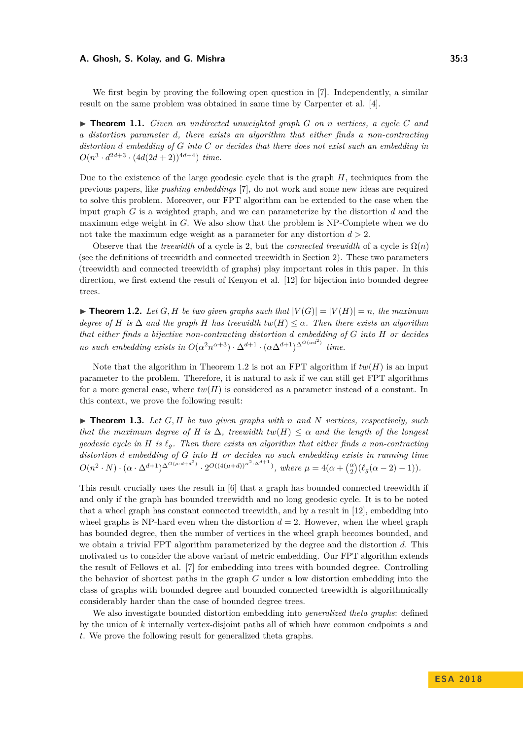We first begin by proving the following open question in [\[7\]](#page-12-12). Independently, a similar result on the same problem was obtained in same time by Carpenter et al. [\[4\]](#page-12-15).

I **Theorem 1.1.** *Given an undirected unweighted graph G on n vertices, a cycle C and a distortion parameter d, there exists an algorithm that either finds a non-contracting distortion d embedding of G into C or decides that there does not exist such an embedding in*  $O(n^3 \cdot d^{2d+3} \cdot (4d(2d+2))^{4d+4})$  *time.* 

Due to the existence of the large geodesic cycle that is the graph *H*, techniques from the previous papers, like *pushing embeddings* [\[7\]](#page-12-12), do not work and some new ideas are required to solve this problem. Moreover, our FPT algorithm can be extended to the case when the input graph *G* is a weighted graph, and we can parameterize by the distortion *d* and the maximum edge weight in *G*. We also show that the problem is NP-Complete when we do not take the maximum edge weight as a parameter for any distortion *d >* 2.

Observe that the *treewidth* of a cycle is 2, but the *connected treewidth* of a cycle is  $\Omega(n)$ (see the definitions of treewidth and connected treewidth in Section [2\)](#page-3-0). These two parameters (treewidth and connected treewidth of graphs) play important roles in this paper. In this direction, we first extend the result of Kenyon et al. [\[12\]](#page-12-9) for bijection into bounded degree trees.

<span id="page-2-0"></span> $\blacktriangleright$  **Theorem 1.2.** Let G, H be two given graphs such that  $|V(G)| = |V(H)| = n$ , the maximum *degree of H is*  $\Delta$  *and the graph H has treewidth*  $tw(H) \leq \alpha$ *. Then there exists an algorithm that either finds a bijective non-contracting distortion d embedding of G into H or decides no such embedding exists in*  $O(\alpha^2 n^{\alpha+3}) \cdot \Delta^{d+1} \cdot (\alpha \Delta^{d+1})^{\Delta^{O(\alpha d^2)}}$  time.

Note that the algorithm in Theorem [1.2](#page-2-0) is not an FPT algorithm if  $tw(H)$  is an input parameter to the problem. Therefore, it is natural to ask if we can still get FPT algorithms for a more general case, where  $tw(H)$  is considered as a parameter instead of a constant. In this context, we prove the following result:

<span id="page-2-1"></span> $\triangleright$  **Theorem 1.3.** Let G, H be two given graphs with *n* and N vertices, respectively, such *that the maximum degree of H is*  $\Delta$ *, treewidth*  $tw(H) \leq \alpha$  *and the length of the longest geodesic cycle in H is*  $\ell_q$ *. Then there exists an algorithm that either finds a non-contracting distortion d embedding of G into H or decides no such embedding exists in running time*  $O(n^2 \cdot N) \cdot (\alpha \cdot \Delta^{d+1})^{\Delta^{O(\mu \cdot d + d^2)}} \cdot 2^{O((4(\mu+d))^{\alpha^2 \cdot \Delta^{d+1}})}$ , where  $\mu = 4(\alpha + \binom{\alpha}{2}(\ell_g(\alpha-2)-1)).$ 

This result crucially uses the result in [\[6\]](#page-12-16) that a graph has bounded connected treewidth if and only if the graph has bounded treewidth and no long geodesic cycle. It is to be noted that a wheel graph has constant connected treewidth, and by a result in [\[12\]](#page-12-9), embedding into wheel graphs is NP-hard even when the distortion  $d = 2$ . However, when the wheel graph has bounded degree, then the number of vertices in the wheel graph becomes bounded, and we obtain a trivial FPT algorithm parameterized by the degree and the distortion *d*. This motivated us to consider the above variant of metric embedding. Our FPT algorithm extends the result of Fellows et al. [\[7\]](#page-12-12) for embedding into trees with bounded degree. Controlling the behavior of shortest paths in the graph *G* under a low distortion embedding into the class of graphs with bounded degree and bounded connected treewidth is algorithmically considerably harder than the case of bounded degree trees.

We also investigate bounded distortion embedding into *generalized theta graphs*: defined by the union of *k* internally vertex-disjoint paths all of which have common endpoints *s* and *t*. We prove the following result for generalized theta graphs.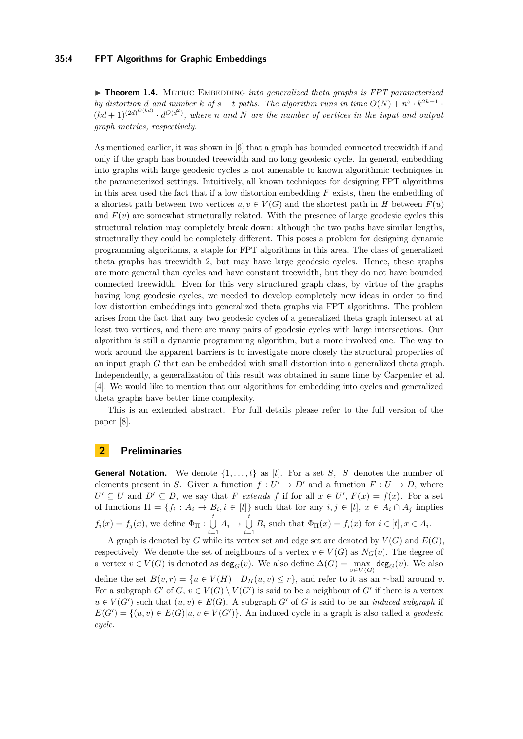#### **35:4 FPT Algorithms for Graphic Embeddings**

<span id="page-3-1"></span> $\triangleright$  **Theorem 1.4.** METRIC EMBEDDING *into generalized theta graphs is FPT parameterized by distortion d* and number *k* of  $s - t$  paths. The algorithm runs in time  $O(N) + n^5 \cdot k^{2k+1}$ .  $(kd+1)^{(2d)^{O(kd)}} \cdot d^{O(d^2)}$ , where *n* and *N* are the number of vertices in the input and output *graph metrics, respectively.*

As mentioned earlier, it was shown in [\[6\]](#page-12-16) that a graph has bounded connected treewidth if and only if the graph has bounded treewidth and no long geodesic cycle. In general, embedding into graphs with large geodesic cycles is not amenable to known algorithmic techniques in the parameterized settings. Intuitively, all known techniques for designing FPT algorithms in this area used the fact that if a low distortion embedding *F* exists, then the embedding of a shortest path between two vertices  $u, v \in V(G)$  and the shortest path in *H* between  $F(u)$ and  $F(v)$  are somewhat structurally related. With the presence of large geodesic cycles this structural relation may completely break down: although the two paths have similar lengths, structurally they could be completely different. This poses a problem for designing dynamic programming algorithms, a staple for FPT algorithms in this area. The class of generalized theta graphs has treewidth 2, but may have large geodesic cycles. Hence, these graphs are more general than cycles and have constant treewidth, but they do not have bounded connected treewidth. Even for this very structured graph class, by virtue of the graphs having long geodesic cycles, we needed to develop completely new ideas in order to find low distortion embeddings into generalized theta graphs via FPT algorithms. The problem arises from the fact that any two geodesic cycles of a generalized theta graph intersect at at least two vertices, and there are many pairs of geodesic cycles with large intersections. Our algorithm is still a dynamic programming algorithm, but a more involved one. The way to work around the apparent barriers is to investigate more closely the structural properties of an input graph *G* that can be embedded with small distortion into a generalized theta graph. Independently, a generalization of this result was obtained in same time by Carpenter et al. [\[4\]](#page-12-15). We would like to mention that our algorithms for embedding into cycles and generalized theta graphs have better time complexity.

This is an extended abstract. For full details please refer to the full version of the paper [\[8\]](#page-12-0).

### <span id="page-3-0"></span>**2 Preliminaries**

**General Notation.** We denote  $\{1, \ldots, t\}$  as  $[t]$ . For a set *S*, *S* denotes the number of elements present in *S*. Given a function  $f: U' \to D'$  and a function  $F: U \to D$ , where  $U' \subseteq U$  and  $D' \subseteq D$ , we say that *F extends f* if for all  $x \in U'$ ,  $F(x) = f(x)$ . For a set of functions  $\Pi = \{f_i : A_i \to B_i, i \in [t]\}$  such that for any  $i, j \in [t], x \in A_i \cap A_j$  implies  $f_i(x) = f_j(x)$ , we define  $\Phi_{\Pi} : \bigcup_{i=1}^{t}$  $\bigcup_{i=1}^t A_i \to \bigcup_{i=1}^t$  $\bigcup_{i=1}$  *B*<sub>*i*</sub> such that  $\Phi_{\Pi}(x) = f_i(x)$  for  $i \in [t], x \in A_i$ .

A graph is denoted by *G* while its vertex set and edge set are denoted by  $V(G)$  and  $E(G)$ , respectively. We denote the set of neighbours of a vertex  $v \in V(G)$  as  $N_G(v)$ . The degree of a vertex  $v \in V(G)$  is denoted as  $\deg_G(v)$ . We also define  $\Delta(G) = \max_{v \in V(G)} \deg_G(v)$ . We also  $v\in V(G)$ define the set  $B(v,r) = \{u \in V(H) \mid D_H(u,v) \leq r\}$ , and refer to it as an *r*-ball around *v*. For a subgraph  $G'$  of  $G, v \in V(G) \setminus V(G')$  is said to be a neighbour of  $G'$  if there is a vertex  $u \in V(G')$  such that  $(u, v) \in E(G)$ . A subgraph *G*<sup>'</sup> of *G* is said to be an *induced subgraph* if  $E(G') = \{(u, v) \in E(G) | u, v \in V(G')\}$ . An induced cycle in a graph is also called a *geodesic cycle*.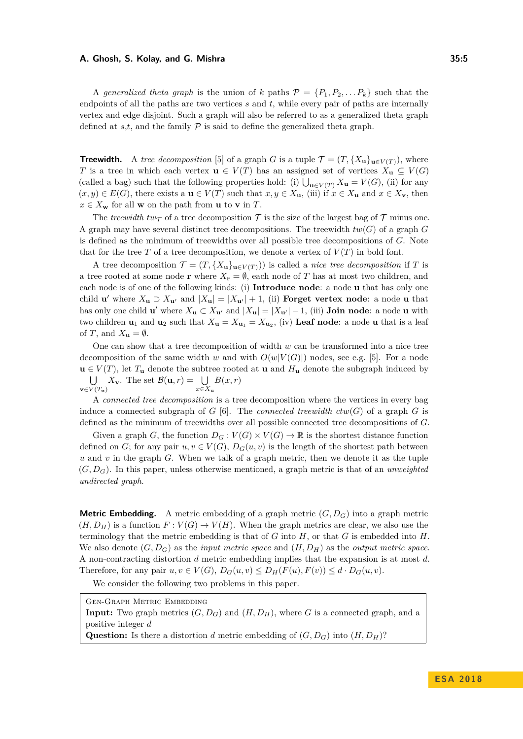A *generalized theta graph* is the union of *k* paths  $\mathcal{P} = \{P_1, P_2, \ldots, P_k\}$  such that the endpoints of all the paths are two vertices *s* and *t*, while every pair of paths are internally vertex and edge disjoint. Such a graph will also be referred to as a generalized theta graph defined at  $s,t$ , and the family  $P$  is said to define the generalized theta graph.

**Treewidth.** A *tree decomposition* [\[5\]](#page-12-17) of a graph *G* is a tuple  $\mathcal{T} = (T, \{X_u\}_{u \in V(T)})$ , where *T* is a tree in which each vertex **u**  $\in V(T)$  has an assigned set of vertices  $X_u \subseteq V(G)$ (called a bag) such that the following properties hold: (i)  $\bigcup_{\mathbf{u}\in V(T)} X_{\mathbf{u}} = V(G)$ , (ii) for any  $(x, y)$  ∈  $E(G)$ , there exists a **u** ∈  $V(T)$  such that  $x, y \in X$ **u**, (iii) if  $x \in X$ **u** and  $x \in X$ **v**, then  $x \in X_{\mathbf{w}}$  for all **w** on the path from **u** to **v** in *T*.

The *treewidth*  $tw_{\mathcal{T}}$  of a tree decomposition  $\mathcal{T}$  is the size of the largest bag of  $\mathcal{T}$  minus one. A graph may have several distinct tree decompositions. The treewidth  $tw(G)$  of a graph  $G$ is defined as the minimum of treewidths over all possible tree decompositions of *G*. Note that for the tree *T* of a tree decomposition, we denote a vertex of  $V(T)$  in bold font.

A tree decomposition  $\mathcal{T} = (T, \{X_{\mathbf{u}}\}_{\mathbf{u}\in V(T)})$  is called a *nice tree decomposition* if T is a tree rooted at some node **r** where  $X_r = \emptyset$ , each node of *T* has at most two children, and each node is of one of the following kinds: (i) **Introduce node**: a node **u** that has only one child **u**' where  $X_{\mathbf{u}} \supset X_{\mathbf{u}'}$  and  $|X_{\mathbf{u}}| = |X_{\mathbf{u}'}| + 1$ , (ii) **Forget vertex node**: a node **u** that has only one child **u**' where  $X_{\mathbf{u}} \subset X_{\mathbf{u}'}$  and  $|X_{\mathbf{u}}| = |X_{\mathbf{u}'}| - 1$ , (iii) **Join node**: a node **u** with two children  $\mathbf{u}_1$  and  $\mathbf{u}_2$  such that  $X_{\mathbf{u}} = X_{\mathbf{u}_1} = X_{\mathbf{u}_2}$ , (iv) **Leaf node**: a node **u** that is a leaf of *T*, and  $X_{\mathbf{u}} = \emptyset$ .

One can show that a tree decomposition of width *w* can be transformed into a nice tree decomposition of the same width *w* and with  $O(w|V(G)|)$  nodes, see e.g. [\[5\]](#page-12-17). For a node  $\mathbf{u} \in V(T)$ , let  $T_{\mathbf{u}}$  denote the subtree rooted at  $\mathbf{u}$  and  $H_{\mathbf{u}}$  denote the subgraph induced by  $\bigcup$  X<sub>v</sub>. The set  $\mathcal{B}(\mathbf{u}, r) = \bigcup B(x, r)$  $\mathbf{v} \in V(T_u)$ *x*∈*X***<sup>u</sup>**

A *connected tree decomposition* is a tree decomposition where the vertices in every bag induce a connected subgraph of *G* [\[6\]](#page-12-16). The *connected treewidth*  $ctw(G)$  of a graph *G* is defined as the minimum of treewidths over all possible connected tree decompositions of *G*.

Given a graph *G*, the function  $D_G : V(G) \to \mathbb{R}$  is the shortest distance function defined on *G*; for any pair  $u, v \in V(G)$ ,  $D_G(u, v)$  is the length of the shortest path between *u* and *v* in the graph *G*. When we talk of a graph metric, then we denote it as the tuple (*G, DG*). In this paper, unless otherwise mentioned, a graph metric is that of an *unweighted undirected graph*.

**Metric Embedding.** A metric embedding of a graph metric  $(G, D_G)$  into a graph metric  $(H, D_H)$  is a function  $F: V(G) \to V(H)$ . When the graph metrics are clear, we also use the terminology that the metric embedding is that of  $G$  into  $H$ , or that  $G$  is embedded into  $H$ . We also denote  $(G, D_G)$  as the *input metric space* and  $(H, D_H)$  as the *output metric space*. A non-contracting distortion *d* metric embedding implies that the expansion is at most *d*. Therefore, for any pair  $u, v \in V(G)$ ,  $D_G(u, v) \le D_H(F(u), F(v)) \le d \cdot D_G(u, v)$ .

We consider the following two problems in this paper.

Gen-Graph Metric Embedding **Input:** Two graph metrics  $(G, D_G)$  and  $(H, D_H)$ , where *G* is a connected graph, and a positive integer *d* **Question:** Is there a distortion *d* metric embedding of  $(G, D_G)$  into  $(H, D_H)$ ?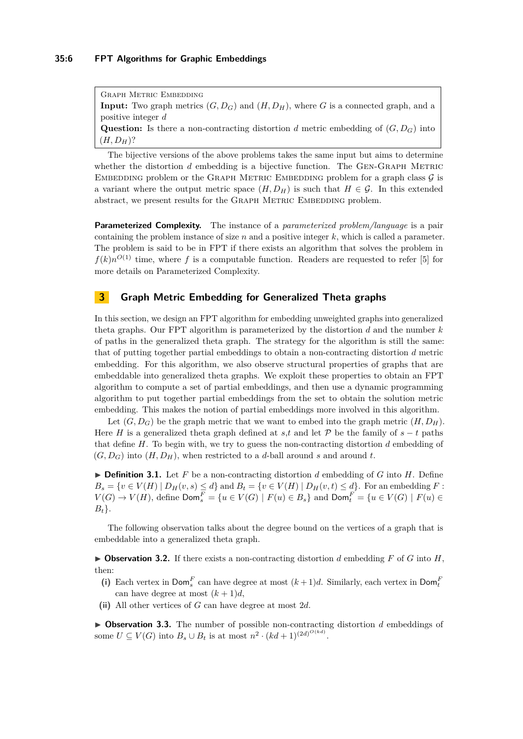Graph Metric Embedding **Input:** Two graph metrics  $(G, D_G)$  and  $(H, D_H)$ , where *G* is a connected graph, and a positive integer *d* **Question:** Is there a non-contracting distortion *d* metric embedding of  $(G, D_G)$  into  $(H, D<sub>H</sub>)$ ?

The bijective versions of the above problems takes the same input but aims to determine whether the distortion  $d$  embedding is a bijective function. The GEN-GRAPH METRIC EMBEDDING problem or the GRAPH METRIC EMBEDDING problem for a graph class  $\mathcal G$  is a variant where the output metric space  $(H, D_H)$  is such that  $H \in \mathcal{G}$ . In this extended abstract, we present results for the GRAPH METRIC EMBEDDING problem.

**Parameterized Complexity.** The instance of a *parameterized problem/language* is a pair containing the problem instance of size *n* and a positive integer *k*, which is called a parameter. The problem is said to be in FPT if there exists an algorithm that solves the problem in  $f(k)n^{O(1)}$  time, where f is a computable function. Readers are requested to refer [\[5\]](#page-12-17) for more details on Parameterized Complexity.

### **3 Graph Metric Embedding for Generalized Theta graphs**

In this section, we design an FPT algorithm for embedding unweighted graphs into generalized theta graphs. Our FPT algorithm is parameterized by the distortion *d* and the number *k* of paths in the generalized theta graph. The strategy for the algorithm is still the same: that of putting together partial embeddings to obtain a non-contracting distortion *d* metric embedding. For this algorithm, we also observe structural properties of graphs that are embeddable into generalized theta graphs. We exploit these properties to obtain an FPT algorithm to compute a set of partial embeddings, and then use a dynamic programming algorithm to put together partial embeddings from the set to obtain the solution metric embedding. This makes the notion of partial embeddings more involved in this algorithm.

Let  $(G, D_G)$  be the graph metric that we want to embed into the graph metric  $(H, D_H)$ . Here *H* is a generalized theta graph defined at *s*,*t* and let  $P$  be the family of  $s - t$  paths that define *H*. To begin with, we try to guess the non-contracting distortion *d* embedding of  $(G, D_G)$  into  $(H, D_H)$ , when restricted to a *d*-ball around *s* and around *t*.

 $\triangleright$  **Definition 3.1.** Let F be a non-contracting distortion d embedding of G into H. Define  $B_s = \{v \in V(H) \mid D_H(v, s) \leq d\}$  and  $B_t = \{v \in V(H) \mid D_H(v, t) \leq d\}$ . For an embedding *F* :  $V(G) \to V(H)$ , define  $\mathsf{Dom}_{s}^{F} = \{u \in V(G) \mid F(u) \in B_{s}\}\$ and  $\mathsf{Dom}_{t}^{F} = \{u \in V(G) \mid F(u) \in B_{s}\}\$ *Bt*}.

The following observation talks about the degree bound on the vertices of a graph that is embeddable into a generalized theta graph.

<span id="page-5-0"></span> $\triangleright$  **Observation 3.2.** If there exists a non-contracting distortion *d* embedding *F* of *G* into *H*, then:

- (i) Each vertex in  $\text{Dom}_{s}^{F}$  can have degree at most  $(k+1)d$ . Similarly, each vertex in  $\text{Dom}_{t}^{F}$ can have degree at most  $(k+1)d$ ,
- **(ii)** All other vertices of *G* can have degree at most 2*d*.

▶ Observation 3.3. The number of possible non-contracting distortion *d* embeddings of some  $U \subseteq V(G)$  into  $B_s \cup B_t$  is at most  $n^2 \cdot (kd+1)^{(2d)^{O(kd)}}$ .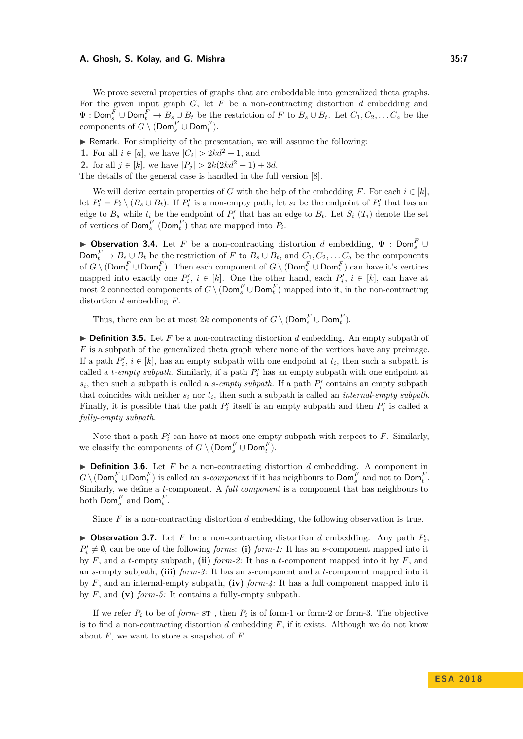We prove several properties of graphs that are embeddable into generalized theta graphs. For the given input graph *G*, let *F* be a non-contracting distortion *d* embedding and  $\Psi$  : Dom<sup>*F*</sup></sup>  $\cup$  Dom<sup>*F*</sup>  $\rightarrow$  *B<sub>s</sub>*  $\cup$  *B<sub>t</sub>* be the restriction of *F* to *B<sub>s</sub>*  $\cup$  *B<sub>t</sub>*. Let *C*<sub>1</sub>, *C*<sub>2</sub>, . . . *C<sub>a</sub>* be the  $\text{components of } G \setminus (\textsf{Dom}_s^F \cup \textsf{Dom}_t^F).$ 

 $\triangleright$  Remark. For simplicity of the presentation, we will assume the following:

**1.** For all  $i \in [a]$ , we have  $|C_i| > 2kd^2 + 1$ , and

**2.** for all  $j \in [k]$ , we have  $|P_j| > 2k(2kd^2 + 1) + 3d$ .

The details of the general case is handled in the full version [\[8\]](#page-12-0).

We will derive certain properties of *G* with the help of the embedding *F*. For each  $i \in [k]$ , let  $P'_i = P_i \setminus (B_s \cup B_t)$ . If  $P'_i$  is a non-empty path, let  $s_i$  be the endpoint of  $P'_i$  that has an edge to  $B_s$  while  $t_i$  be the endpoint of  $P'_i$  that has an edge to  $B_t$ . Let  $S_i(T_i)$  denote the set of vertices of  $\textsf{Dom}_{s}^{F}$  ( $\textsf{Dom}_{t}^{F}$ ) that are mapped into  $P_{i}$ .

**Dbservation 3.4.** Let *F* be a non-contracting distortion *d* embedding,  $\Psi$  : Dom<sup>*F*</sup></sup>  $\text{Dom}_{t}^{F} \to B_s \cup B_t$  be the restriction of *F* to  $B_s \cup B_t$ , and  $C_1, C_2, \ldots C_a$  be the components of  $G \setminus (\textsf{Dom}_s^F \cup \textsf{Dom}_t^F)$ . Then each component of  $G \setminus (\textsf{Dom}_s^F \cup \textsf{Dom}_t^F)$  can have it's vertices mapped into exactly one  $P'_i$ ,  $i \in [k]$ . One the other hand, each  $P'_i$ ,  $i \in [k]$ , can have at most 2 connected components of  $G \setminus (\textsf{Dom}_s^F \cup \textsf{Dom}_t^F)$  mapped into it, in the non-contracting distortion *d* embedding *F*.

Thus, there can be at most  $2k$  components of  $G \setminus (\textsf{Dom}_{s}^{F} \cup \textsf{Dom}_{t}^{F})$ .

 $\triangleright$  **Definition 3.5.** Let *F* be a non-contracting distortion *d* embedding. An empty subpath of *F* is a subpath of the generalized theta graph where none of the vertices have any preimage. If a path  $P'_{i}$ ,  $i \in [k]$ , has an empty subpath with one endpoint at  $t_{i}$ , then such a subpath is called a  $t$ -*empty subpath*. Similarly, if a path  $P'_i$  has an empty subpath with one endpoint at  $s_i$ , then such a subpath is called a *s-empty subpath*. If a path  $P'_i$  contains an empty subpath that coincides with neither *s<sup>i</sup>* nor *t<sup>i</sup>* , then such a subpath is called an *internal-empty subpath*. Finally, it is possible that the path  $P'_i$  itself is an empty subpath and then  $P'_i$  is called a *fully-empty subpath*.

Note that a path  $P_i'$  can have at most one empty subpath with respect to  $F$ . Similarly, we classify the components of  $G \setminus (\textsf{Dom}_s^F \cup \textsf{Dom}_t^F)$ .

 $\triangleright$  **Definition 3.6.** Let *F* be a non-contracting distortion *d* embedding. A component in  $G \setminus (\textsf{Dom}^F_s \cup \textsf{Dom}^F_t)$  is called an *s-component* if it has neighbours to  $\textsf{Dom}^F_s$  and not to  $\textsf{Dom}^F_t$ . Similarly, we define a *t*-component. A *full component* is a component that has neighbours to both  $\mathsf{Dom}_{s}^{F}$  and  $\mathsf{Dom}_{t}^{F}$ .

Since *F* is a non-contracting distortion *d* embedding, the following observation is true.

 $\triangleright$  **Observation 3.7.** Let *F* be a non-contracting distortion *d* embedding. Any path  $P_i$ ,  $P'_i \neq \emptyset$ , can be one of the following *forms*: (i) *form-1:* It has an *s*-component mapped into it by *F*, and a *t*-empty subpath, **(ii)** *form-2:* It has a *t*-component mapped into it by *F*, and an *s*-empty subpath, **(iii)** *form-3:* It has an *s*-component and a *t*-component mapped into it by *F*, and an internal-empty subpath, **(iv)** *form-4:* It has a full component mapped into it by *F*, and **(v)** *form-5:* It contains a fully-empty subpath.

If we refer  $P_i$  to be of *form*- $ST$ , then  $P_i$  is of form-1 or form-2 or form-3. The objective is to find a non-contracting distortion *d* embedding *F*, if it exists. Although we do not know about *F*, we want to store a snapshot of *F*.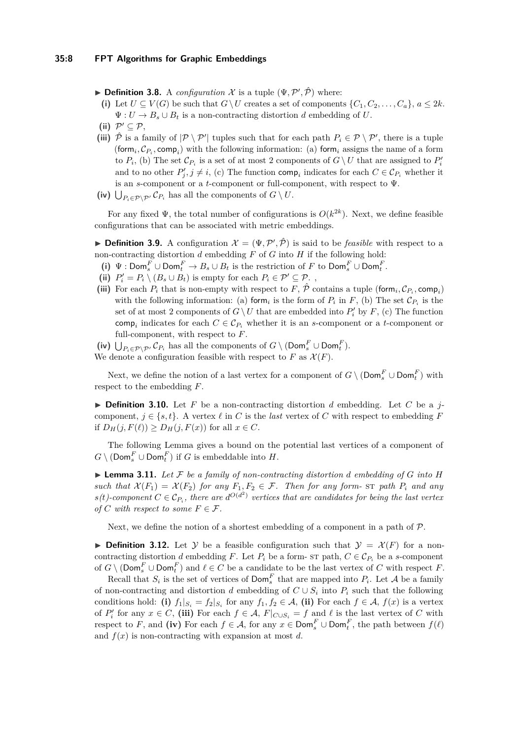**Definition 3.8.** A *configuration*  $\mathcal{X}$  is a tuple  $(\Psi, \mathcal{P}', \hat{\mathcal{P}})$  where:

- (i) Let  $U \subseteq V(G)$  be such that  $G \setminus U$  creates a set of components  $\{C_1, C_2, \ldots, C_a\}, a \leq 2k$ .  $\Psi: U \to B_s \cup B_t$  is a non-contracting distortion *d* embedding of *U*.
- (ii)  $\mathcal{P}' \subseteq \mathcal{P}$ ,
- (iii)  $\hat{\mathcal{P}}$  is a family of  $|\mathcal{P} \setminus \mathcal{P}'|$  tuples such that for each path  $P_i \in \mathcal{P} \setminus \mathcal{P}'$ , there is a tuple (form<sub>*i*</sub>,  $\mathcal{C}_{P_i}$ , comp<sub>*i*</sub>) with the following information: (a) form<sub>*i*</sub> assigns the name of a form to  $P_i$ , (b) The set  $\mathcal{C}_{P_i}$  is a set of at most 2 components of  $G \setminus U$  that are assigned to  $P'_i$ and to no other  $P'_j, j \neq i$ , (c) The function comp<sub>i</sub> indicates for each  $C \in \mathcal{C}_{P_i}$  whether it is an *s*-component or a *t*-component or full-component, with respect to Ψ.
- (iv)  $\bigcup_{P_i \in \mathcal{P} \setminus \mathcal{P}'} C_{P_i}$  has all the components of  $G \setminus U$ .

For any fixed  $\Psi$ , the total number of configurations is  $O(k^{2k})$ . Next, we define feasible configurations that can be associated with metric embeddings.

**Definition 3.9.** A configuration  $\mathcal{X} = (\Psi, \mathcal{P}', \hat{\mathcal{P}})$  is said to be *feasible* with respect to a non-contracting distortion *d* embedding *F* of *G* into *H* if the following hold:

- $(i) \Psi : \textsf{Dom}_s^F \cup \textsf{Dom}_t^F \to B_s \cup B_t$  is the restriction of *F* to  $\textsf{Dom}_s^F \cup \textsf{Dom}_t^F$ .
- (ii)  $P'_i = P_i \setminus (B_s \cup B_t)$  is empty for each  $P_i \in \mathcal{P}' \subseteq \mathcal{P}_t$ ,
- (iii) For each  $P_i$  that is non-empty with respect to  $F, \hat{\mathcal{P}}$  contains a tuple (form,  $\mathcal{C}_{P_i}$ , comp<sub>i</sub>) with the following information: (a) form<sub>*i*</sub> is the form of  $P_i$  in  $F$ , (b) The set  $\mathcal{C}_{P_i}$  is the set of at most 2 components of  $G \setminus U$  that are embedded into  $P_i'$  by  $F$ , (c) The function comp<sub>i</sub> indicates for each  $C \in \mathcal{C}_{P_i}$  whether it is an *s*-component or a *t*-component or full-component, with respect to *F*.

(iv)  $\bigcup_{P_i \in \mathcal{P} \setminus \mathcal{P}'} C_{P_i}$  has all the components of  $G \setminus (\textsf{Dom}_s^F \cup \textsf{Dom}_t^F)$ . We denote a configuration feasible with respect to  $F$  as  $\mathcal{X}(F)$ .

Next, we define the notion of a last vertex for a component of  $G \setminus (\textsf{Dom}^F_s \cup \textsf{Dom}^F_t)$  with respect to the embedding *F*.

 $\triangleright$  **Definition 3.10.** Let F be a non-contracting distortion *d* embedding. Let C be a *j*component,  $j \in \{s, t\}$ . A vertex  $\ell$  in *C* is the *last* vertex of *C* with respect to embedding *F* if  $D_H(j, F(\ell)) \ge D_H(j, F(x))$  for all  $x \in C$ .

The following Lemma gives a bound on the potential last vertices of a component of  $G \setminus (\textsf{Dom}_{s}^{F} \cup \textsf{Dom}_{t}^{F})$  if *G* is embeddable into *H*.

<span id="page-7-0"></span> $\blacktriangleright$  **Lemma 3.11.** Let F be a family of non-contracting distortion *d* embedding of G into H *such that*  $\mathcal{X}(F_1) = \mathcal{X}(F_2)$  *for any*  $F_1, F_2 \in \mathcal{F}$ *. Then for any form-* str path  $P_i$  *and any*  $s(t)$ -component  $C \in \mathcal{C}_{P_i}$ , there are  $d^{O(d^2)}$  vertices that are candidates for being the last vertex *of*  $C$  *with respect to some*  $F \in \mathcal{F}$ *.* 

Next, we define the notion of a shortest embedding of a component in a path of  $\mathcal{P}$ .

**Definition 3.12.** Let Y be a feasible configuration such that  $\mathcal{Y} = \mathcal{X}(F)$  for a noncontracting distortion *d* embedding *F*. Let  $P_i$  be a form- st path,  $C \in \mathcal{C}_{P_i}$  be a *s*-component of  $G \setminus (\textsf{Dom}_{s}^{F} \cup \textsf{Dom}_{t}^{F})$  and  $\ell \in C$  be a candidate to be the last vertex of  $C$  with respect  $F$ .

Recall that  $S_i$  is the set of vertices of  $\text{Dom}_s^F$  that are mapped into  $P_i$ . Let A be a family of non-contracting and distortion *d* embedding of  $C \cup S_i$  into  $P_i$  such that the following conditions hold: (i)  $f_1|_{S_i} = f_2|_{S_i}$  for any  $f_1, f_2 \in \mathcal{A}$ , (ii) For each  $f \in \mathcal{A}$ ,  $f(x)$  is a vertex of  $P'_i$  for any  $x \in C$ , (iii) For each  $f \in A$ ,  $F|_{C \cup S_i} = f$  and  $\ell$  is the last vertex of  $C$  with respect to *F*, and (iv) For each  $f \in A$ , for any  $x \in \text{Dom}_{s}^{F} \cup \text{Dom}_{t}^{F}$ , the path between  $f(\ell)$ and  $f(x)$  is non-contracting with expansion at most  $d$ .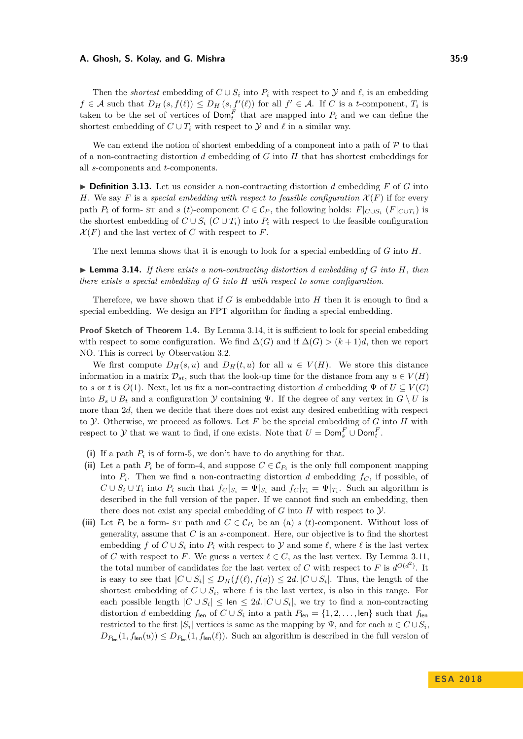Then the *shortest* embedding of  $C \cup S_i$  into  $P_i$  with respect to  $\mathcal Y$  and  $\ell$ , is an embedding  $f \in \mathcal{A}$  such that  $D_H(s, f(\ell)) \leq D_H(s, f'(\ell))$  for all  $f' \in \mathcal{A}$ . If *C* is a *t*-component,  $T_i$  is taken to be the set of vertices of  $\text{Dom}_t^F$  that are mapped into  $P_i$  and we can define the shortest embedding of  $C \cup T_i$  with respect to  $\mathcal Y$  and  $\ell$  in a similar way.

We can extend the notion of shortest embedding of a component into a path of  $\mathcal P$  to that of a non-contracting distortion *d* embedding of *G* into *H* that has shortest embeddings for all *s*-components and *t*-components.

 $\triangleright$  **Definition 3.13.** Let us consider a non-contracting distortion *d* embedding *F* of *G* into *H*. We say *F* is a *special embedding with respect to feasible configuration*  $\mathcal{X}(F)$  if for every path  $P_i$  of form- st and *s* (*t*)-component  $C \in \mathcal{C}_P$ , the following holds:  $F|_{C \cup S_i}$  ( $F|_{C \cup T_i}$ ) is the shortest embedding of  $C \cup S_i$  ( $C \cup T_i$ ) into  $P_i$  with respect to the feasible configuration  $\mathcal{X}(F)$  and the last vertex of *C* with respect to *F*.

The next lemma shows that it is enough to look for a special embedding of *G* into *H*.

<span id="page-8-0"></span> $\triangleright$  **Lemma 3.14.** If there exists a non-contracting distortion d embedding of G into H, then *there exists a special embedding of G into H with respect to some configuration.*

Therefore, we have shown that if *G* is embeddable into *H* then it is enough to find a special embedding. We design an FPT algorithm for finding a special embedding.

**Proof Sketch of Theorem [1.4.](#page-3-1)** By Lemma [3.14,](#page-8-0) it is sufficient to look for special embedding with respect to some configuration. We find  $\Delta(G)$  and if  $\Delta(G) > (k+1)d$ , then we report NO. This is correct by Observation [3.2.](#page-5-0)

We first compute  $D_H(s, u)$  and  $D_H(t, u)$  for all  $u \in V(H)$ . We store this distance information in a matrix  $\mathcal{D}_{st}$ , such that the look-up time for the distance from any  $u \in V(H)$ to *s* or *t* is  $O(1)$ . Next, let us fix a non-contracting distortion *d* embedding  $\Psi$  of  $U \subseteq V(G)$ into  $B_s \cup B_t$  and a configuration Y containing  $\Psi$ . If the degree of any vertex in  $G \setminus U$  is more than 2*d*, then we decide that there does not exist any desired embedding with respect to Y. Otherwise, we proceed as follows. Let *F* be the special embedding of *G* into *H* with respect to  $\mathcal{Y}$  that we want to find, if one exists. Note that  $U = \text{Dom}_{s}^{F} \cup \text{Dom}_{t}^{F}$ .

- (i) If a path  $P_i$  is of form-5, we don't have to do anything for that.
- (ii) Let a path  $P_i$  be of form-4, and suppose  $C \in \mathcal{C}_{P_i}$  is the only full component mapping into  $P_i$ . Then we find a non-contracting distortion *d* embedding  $f_C$ , if possible, of  $C \cup S_i \cup T_i$  into  $P_i$  such that  $f_C|_{S_i} = \Psi|_{S_i}$  and  $f_C|_{T_i} = \Psi|_{T_i}$ . Such an algorithm is described in the full version of the paper. If we cannot find such an embedding, then there does not exist any special embedding of  $G$  into  $H$  with respect to  $\mathcal{Y}$ .
- (iii) Let  $P_i$  be a form- st path and  $C \in \mathcal{C}_{P_i}$  be an (a) *s* (*t*)-component. Without loss of generality, assume that *C* is an *s*-component. Here, our objective is to find the shortest embedding *f* of  $C \cup S_i$  into  $P_i$  with respect to  $\mathcal Y$  and some  $\ell$ , where  $\ell$  is the last vertex of *C* with respect to *F*. We guess a vertex  $\ell \in C$ , as the last vertex. By Lemma [3.11,](#page-7-0) the total number of candidates for the last vertex of *C* with respect to *F* is  $d^{O(d^2)}$ . It is easy to see that  $|C \cup S_i| \le D_H(f(\ell), f(a)) \le 2d$ .  $|C \cup S_i|$ . Thus, the length of the shortest embedding of  $C \cup S_i$ , where  $\ell$  is the last vertex, is also in this range. For each possible length  $|C \cup S_i| \leq$  len  $\leq 2d$ .  $|C \cup S_i|$ , we try to find a non-contracting distortion *d* embedding  $f_{\text{len}}$  of  $C \cup S_i$  into a path  $P_{\text{len}} = \{1, 2, \ldots, \text{len}\}\)$  such that  $f_{\text{len}}$ restricted to the first  $|S_i|$  vertices is same as the mapping by  $\Psi$ , and for each  $u \in C \cup S_i$ ,  $D_{P_{\text{len}}}(1, f_{\text{len}}(u)) \leq D_{P_{\text{len}}}(1, f_{\text{len}}(\ell))$ . Such an algorithm is described in the full version of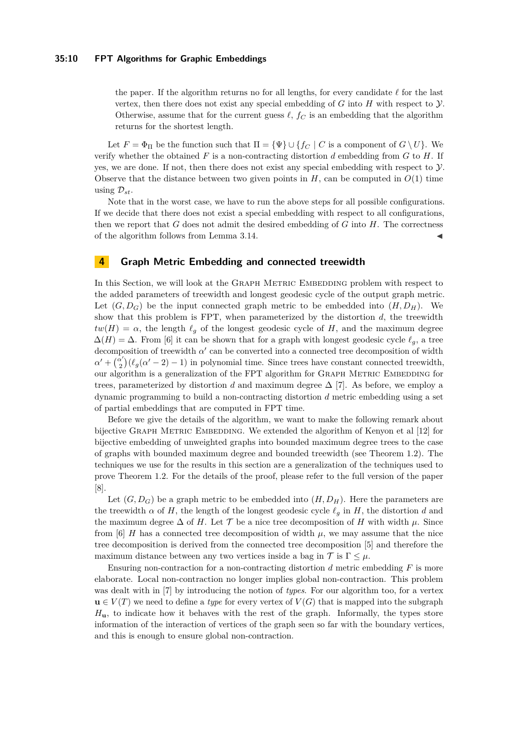#### **35:10 FPT Algorithms for Graphic Embeddings**

the paper. If the algorithm returns no for all lengths, for every candidate  $\ell$  for the last vertex, then there does not exist any special embedding of  $G$  into  $H$  with respect to  $\mathcal Y$ . Otherwise, assume that for the current guess  $\ell$ ,  $f_C$  is an embedding that the algorithm returns for the shortest length.

Let  $F = \Phi_{\Pi}$  be the function such that  $\Pi = {\Psi} \cup {\{f_C \mid C \text{ is a component of } G \setminus U\}}$ . We verify whether the obtained *F* is a non-contracting distortion *d* embedding from *G* to *H*. If yes, we are done. If not, then there does not exist any special embedding with respect to  $\mathcal{Y}$ . Observe that the distance between two given points in  $H$ , can be computed in  $O(1)$  time using  $\mathcal{D}_{st}$ .

Note that in the worst case, we have to run the above steps for all possible configurations. If we decide that there does not exist a special embedding with respect to all configurations, then we report that *G* does not admit the desired embedding of *G* into *H*. The correctness of the algorithm follows from Lemma [3.14.](#page-8-0)

### **4 Graph Metric Embedding and connected treewidth**

In this Section, we will look at the GRAPH METRIC EMBEDDING problem with respect to the added parameters of treewidth and longest geodesic cycle of the output graph metric. Let  $(G, D_G)$  be the input connected graph metric to be embedded into  $(H, D_H)$ . We show that this problem is FPT, when parameterized by the distortion  $d$ , the treewidth  $tw(H) = \alpha$ , the length  $\ell_g$  of the longest geodesic cycle of *H*, and the maximum degree  $\Delta(H) = \Delta$ . From [\[6\]](#page-12-16) it can be shown that for a graph with longest geodesic cycle  $\ell_g$ , a tree decomposition of treewidth  $\alpha'$  can be converted into a connected tree decomposition of width  $\alpha'$  +  $\frac{\alpha'}{2}$  $\binom{x'}{2}(\ell_g(\alpha'-2)-1)$  in polynomial time. Since trees have constant connected treewidth, our algorithm is a generalization of the FPT algorithm for GRAPH METRIC EMBEDDING for trees, parameterized by distortion *d* and maximum degree  $\Delta$  [\[7\]](#page-12-12). As before, we employ a dynamic programming to build a non-contracting distortion *d* metric embedding using a set of partial embeddings that are computed in FPT time.

Before we give the details of the algorithm, we want to make the following remark about bijective GRAPH METRIC EMBEDDING. We extended the algorithm of Kenyon et al [\[12\]](#page-12-9) for bijective embedding of unweighted graphs into bounded maximum degree trees to the case of graphs with bounded maximum degree and bounded treewidth (see Theorem [1.2\)](#page-2-0). The techniques we use for the results in this section are a generalization of the techniques used to prove Theorem [1.2.](#page-2-0) For the details of the proof, please refer to the full version of the paper [\[8\]](#page-12-0).

Let  $(G, D_G)$  be a graph metric to be embedded into  $(H, D_H)$ . Here the parameters are the treewidth  $\alpha$  of *H*, the length of the longest geodesic cycle  $\ell_g$  in *H*, the distortion *d* and the maximum degree  $\Delta$  of *H*. Let  $\mathcal T$  be a nice tree decomposition of *H* with width  $\mu$ . Since from [\[6\]](#page-12-16) *H* has a connected tree decomposition of width  $\mu$ , we may assume that the nice tree decomposition is derived from the connected tree decomposition [\[5\]](#page-12-17) and therefore the maximum distance between any two vertices inside a bag in  $\mathcal{T}$  is  $\Gamma \leq \mu$ .

Ensuring non-contraction for a non-contracting distortion *d* metric embedding *F* is more elaborate. Local non-contraction no longer implies global non-contraction. This problem was dealt with in [\[7\]](#page-12-12) by introducing the notion of *types*. For our algorithm too, for a vertex  $\mathbf{u} \in V(T)$  we need to define a *type* for every vertex of  $V(G)$  that is mapped into the subgraph *H***u**, to indicate how it behaves with the rest of the graph. Informally, the types store information of the interaction of vertices of the graph seen so far with the boundary vertices, and this is enough to ensure global non-contraction.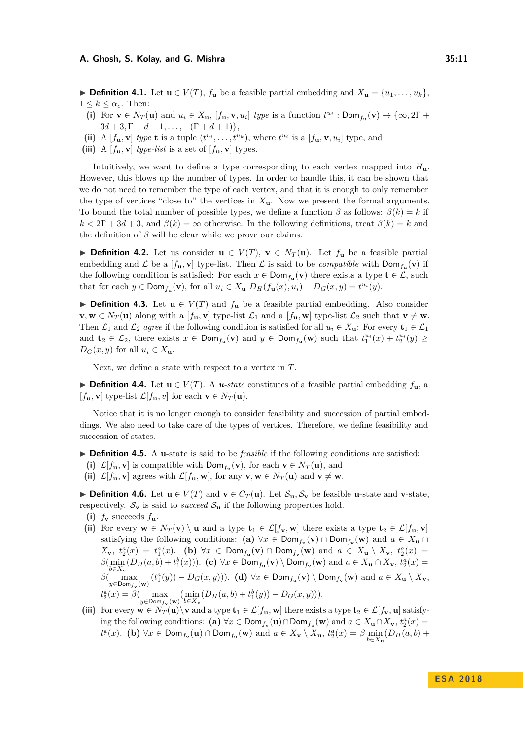▶ **Definition 4.1.** Let  $\mathbf{u} \in V(T)$ ,  $f_{\mathbf{u}}$  be a feasible partial embedding and  $X_{\mathbf{u}} = \{u_1, \ldots, u_k\}$ ,  $1 \leq k \leq \alpha_c$ . Then:

- (i) For  $\mathbf{v} \in N_T(\mathbf{u})$  and  $u_i \in X_\mathbf{u}$ ,  $[f_\mathbf{u}, \mathbf{v}, u_i]$  type is a function  $t^{u_i}$ : Dom $f_\mathbf{u}(\mathbf{v}) \to {\infty, 2\Gamma}$  +  $3d + 3, \Gamma + d + 1, \ldots, -(\Gamma + d + 1)$ ,
- (ii) A  $[f_{\mathbf{u}}, \mathbf{v}]$  type **t** is a tuple  $(t^{u_i}, \ldots, t^{u_k})$ , where  $t^{u_i}$  is a  $[f_{\mathbf{u}}, \mathbf{v}, u_i]$  type, and
- (iii) A  $[f_{\mathbf{u}}, \mathbf{v}]$  *type-list* is a set of  $[f_{\mathbf{u}}, \mathbf{v}]$  types.

Intuitively, we want to define a type corresponding to each vertex mapped into *H***u**. However, this blows up the number of types. In order to handle this, it can be shown that we do not need to remember the type of each vertex, and that it is enough to only remember the type of vertices "close to" the vertices in  $X_{\mathbf{u}}$ . Now we present the formal arguments. To bound the total number of possible types, we define a function  $\beta$  as follows:  $\beta(k) = k$  if  $k < 2\Gamma + 3d + 3$ , and  $\beta(k) = \infty$  otherwise. In the following definitions, treat  $\beta(k) = k$  and the definition of  $\beta$  will be clear while we prove our claims.

**► Definition 4.2.** Let us consider  $\mathbf{u} \in V(T)$ ,  $\mathbf{v} \in N_T(\mathbf{u})$ . Let  $f_{\mathbf{u}}$  be a feasible partial embedding and  $\mathcal{L}$  be a  $[f_{\mathbf{u}}, \mathbf{v}]$  type-list. Then  $\mathcal{L}$  is said to be *compatible* with  $\textsf{Dom}_{f_{\mathbf{u}}}(\mathbf{v})$  if the following condition is satisfied: For each  $x \in Dom_{f_{\mathbf{u}}}(\mathbf{v})$  there exists a type  $\mathbf{t} \in \mathcal{L}$ , such that for each  $y \in \text{Dom}_{f_{\mathbf{u}}}(\mathbf{v})$ , for all  $u_i \in X_{\mathbf{u}} D_H(f_{\mathbf{u}}(x), u_i) - D_G(x, y) = t^{u_i}(y)$ .

**► Definition 4.3.** Let  $\mathbf{u} \in V(T)$  and  $f_{\mathbf{u}}$  be a feasible partial embedding. Also consider **v**, **w** ∈  $N_T$  (**u**) along with a [*f*<sub>**u**</sub>, **v**] type-list  $\mathcal{L}_1$  and a [*f*<sub>**u**</sub>, **w**] type-list  $\mathcal{L}_2$  such that **v**  $\neq$  **w**. Then  $\mathcal{L}_1$  and  $\mathcal{L}_2$  *agree* if the following condition is satisfied for all  $u_i \in X_u$ : For every  $\mathbf{t}_1 \in \mathcal{L}_1$ and  $\mathbf{t}_2 \in \mathcal{L}_2$ , there exists  $x \in \text{Dom}_{f_\mathbf{u}}(\mathbf{v})$  and  $y \in \text{Dom}_{f_\mathbf{u}}(\mathbf{w})$  such that  $t_1^{u_i}(x) + t_2^{u_i}(y) \geq$  $D_G(x, y)$  for all  $u_i \in X$ **u**.

Next, we define a state with respect to a vertex in *T*.

► **Definition 4.4.** Let  $\mathbf{u} \in V(T)$ . A *u*-state constitutes of a feasible partial embedding  $f_{\mathbf{u}}$ , a  $[f_{\mathbf{u}}, \mathbf{v}]$  type-list  $\mathcal{L}[f_{\mathbf{u}}, v]$  for each  $\mathbf{v} \in N_T(\mathbf{u})$ .

Notice that it is no longer enough to consider feasibility and succession of partial embeddings. We also need to take care of the types of vertices. Therefore, we define feasibility and succession of states.

- I **Definition 4.5.** A **u**-state is said to be *feasible* if the following conditions are satisfied:
- (i)  $\mathcal{L}[f_{\mathbf{u}}, \mathbf{v}]$  is compatible with  $\text{Dom}_{f_{\mathbf{u}}}(\mathbf{v})$ , for each  $\mathbf{v} \in N_T(\mathbf{u})$ , and
- (ii)  $\mathcal{L}[f_{\mathbf{u}}, \mathbf{v}]$  agrees with  $\mathcal{L}[f_{\mathbf{u}}, \mathbf{w}]$ , for any  $\mathbf{v}, \mathbf{w} \in N_T(\mathbf{u})$  and  $\mathbf{v} \neq \mathbf{w}$ .

**► Definition 4.6.** Let  $\mathbf{u} \in V(T)$  and  $\mathbf{v} \in C_T(\mathbf{u})$ . Let  $\mathcal{S}_{\mathbf{u}}, \mathcal{S}_{\mathbf{v}}$  be feasible **u**-state and **v**-state, respectively.  $S_{\mathbf{v}}$  is said to *succeed*  $S_{\mathbf{u}}$  if the following properties hold.

- (i)  $f_v$  succeeds  $f_u$ .
- (ii) For every  $\mathbf{w} \in N_T(\mathbf{v}) \setminus \mathbf{u}$  and a type  $\mathbf{t}_1 \in \mathcal{L}[f_{\mathbf{v}}, \mathbf{w}]$  there exists a type  $\mathbf{t}_2 \in \mathcal{L}[f_{\mathbf{u}}, \mathbf{v}]$ satisfying the following conditions:  $(a) \forall x \in Dom_{f_u}(v) \cap Dom_{f_v}(w)$  and  $a \in X_u \cap$  $X_{\mathbf{v}}, t_2^a(x) = t_1^a(x)$ . (b)  $\forall x \in \text{Dom}_{f_{\mathbf{u}}}(\mathbf{v}) \cap \text{Dom}_{f_{\mathbf{v}}}(\mathbf{w})$  and  $a \in X_{\mathbf{u}} \setminus X_{\mathbf{v}}, t_2^a(x) =$  $\beta(\min_{b\in X_{\mathbf{v}}}(D_H(a,b)+t_1^b(x)))$ . (c)  $\forall x \in \text{Dom}_{f_{\mathbf{u}}}(\mathbf{v}) \setminus \text{Dom}_{f_{\mathbf{v}}}(\mathbf{w})$  and  $a \in X_{\mathbf{u}} \cap X_{\mathbf{v}}, t_2^a(x) =$  $\beta\begin{pmatrix} \max_{y \in \text{Dom}_{f_v}(\mathbf{w})} (t_1^a(y)) - D_G(x, y) \end{pmatrix}$ . (d)  $\forall x \in \text{Dom}_{f_u}(\mathbf{v}) \setminus \text{Dom}_{f_v}(\mathbf{w})$  and  $a \in X_u \setminus X_v$ ,  $t_2^a(x) = \beta \left( \max_{y \in \text{Dom}_{f_{\mathbf{v}}}(\mathbf{w})} \left( \min_{b \in X_{\mathbf{v}}} (D_H(a, b) + t_1^b(y)) - D_G(x, y) \right) \right).$
- (iii) For every  $\mathbf{w} \in N_T(\mathbf{u}) \setminus \mathbf{v}$  and a type  $\mathbf{t}_1 \in \mathcal{L}[f_{\mathbf{u}}, \mathbf{w}]$  there exists a type  $\mathbf{t}_2 \in \mathcal{L}[f_{\mathbf{v}}, \mathbf{u}]$  satisfying the following conditions: (a)  $\forall x \in \text{Dom}_{f_v}(\mathbf{u}) \cap \text{Dom}_{f_u}(\mathbf{w})$  and  $a \in X_u \cap X_v$ ,  $t_2^a(x) =$  $t_1^a(x)$ . (b)  $\forall x \in \text{Dom}_{f_{\mathbf{v}}}(\mathbf{u}) \cap \text{Dom}_{f_{\mathbf{u}}}(\mathbf{w})$  and  $a \in X_{\mathbf{v}} \setminus X_{\mathbf{u}}, t_2^a(x) = \beta \min_{b \in X_{\mathbf{u}}} (D_H(a, b) +$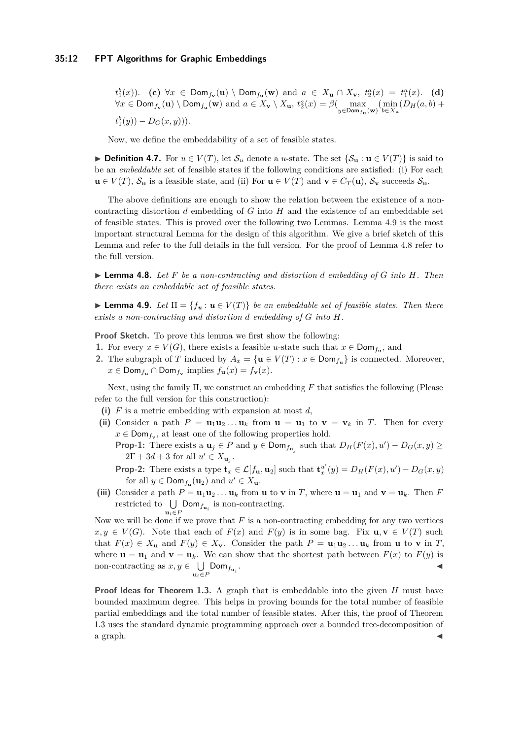$t_1^b(x)$ ). (c)  $\forall x \in Dom_{f_{\mathbf{v}}}(\mathbf{u}) \setminus Dom_{f_{\mathbf{u}}}(\mathbf{w})$  and  $a \in X_{\mathbf{u}} \cap X_{\mathbf{v}}, t_2^a(x) = t_1^a(x)$ . (d)  $\forall x \in \text{Dom}_{f_{\mathbf{v}}}(\mathbf{u}) \setminus \text{Dom}_{f_{\mathbf{u}}}(\mathbf{w})$  and  $a \in X_{\mathbf{v}} \setminus X_{\mathbf{u}}, t_2^a(x) = \beta \left(\max_{y \in \text{Dom}_{f_{\mathbf{u}}}(\mathbf{w})} \left(\min_{b \in X_{\mathbf{u}}} (D_H(a, b) + \infty)\right)\right)$  $t_1^b(y)$  –  $D_G(x, y)$ ).

Now, we define the embeddability of a set of feasible states.

**► Definition 4.7.** For  $u \in V(T)$ , let  $S_u$  denote a *u*-state. The set  $\{S_u : u \in V(T)\}\)$  is said to be an *embeddable* set of feasible states if the following conditions are satisfied: (i) For each **u** ∈ *V*(*T*),  $S$ **u** is a feasible state, and (ii) For **u** ∈ *V*(*T*) and **v** ∈ *C<sub><i>T*</sub>(**u**),  $S$ **v** succeeds  $S$ **u**.

The above definitions are enough to show the relation between the existence of a noncontracting distortion *d* embedding of *G* into *H* and the existence of an embeddable set of feasible states. This is proved over the following two Lemmas. Lemma [4.9](#page-11-0) is the most important structural Lemma for the design of this algorithm. We give a brief sketch of this Lemma and refer to the full details in the full version. For the proof of Lemma [4.8](#page-11-1) refer to the full version.

<span id="page-11-1"></span> $\blacktriangleright$  **Lemma 4.8.** Let F be a non-contracting and distortion d embedding of G into H. Then *there exists an embeddable set of feasible states.*

<span id="page-11-0"></span>**Lemma 4.9.** *Let*  $\Pi = \{f_u : u \in V(T)\}$  *be an embeddable set of feasible states. Then there exists a non-contracting and distortion d embedding of G into H.*

**Proof Sketch.** To prove this lemma we first show the following:

- **1.** For every  $x \in V(G)$ , there exists a feasible *u*-state such that  $x \in \text{Dom}_{f_u}$ , and
- **2.** The subgraph of *T* induced by  $A_x = {\mathbf{u} \in V(T) : x \in Dom_{f_u}}$  is connected. Moreover,  $x \in \textsf{Dom}_{f_{\mathbf{u}}} \cap \textsf{Dom}_{f_{\mathbf{v}}} \text{ implies } f_{\mathbf{u}}(x) = f_{\mathbf{v}}(x).$

Next, using the family Π, we construct an embedding *F* that satisfies the following (Please refer to the full version for this construction):

- **(i)** *F* is a metric embedding with expansion at most *d*,
- (ii) Consider a path  $P = \mathbf{u}_1 \mathbf{u}_2 \dots \mathbf{u}_k$  from  $\mathbf{u} = \mathbf{u}_1$  to  $\mathbf{v} = \mathbf{v}_k$  in *T*. Then for every  $x \in \text{Dom}_{f_{\mathbf{v}}}$ , at least one of the following properties hold.
	- **Prop-1:** There exists a  $\mathbf{u}_j \in P$  and  $y \in \text{Dom}_{f_{\mathbf{u}_j}}$  such that  $D_H(F(x), u') D_G(x, y) \geq$  $2\Gamma + 3d + 3$  for all  $u' \in X_{\mathbf{u}_j}$ .
	- **Prop-2:** There exists a type  $\mathbf{t}_x \in \mathcal{L}[f_{\mathbf{u}}, \mathbf{u}_2]$  such that  $\mathbf{t}_x^{u'}$  $D_H(F(x), u') - D_G(x, y)$ for all  $y \in \text{Dom}_{f_{\mathbf{u}}}(\mathbf{u}_2)$  and  $u' \in X_{\mathbf{u}}$ .
- (iii) Consider a path  $P = \mathbf{u}_1 \mathbf{u}_2 \dots \mathbf{u}_k$  from **u** to **v** in *T*, where  $\mathbf{u} = \mathbf{u}_1$  and  $\mathbf{v} = \mathbf{u}_k$ . Then *F* restricted to  $\bigcup_{n=1}^{\infty}$  Dom<sub>fu<sub>i</sub></sub> is non-contracting.  $\mathbf{u}_i \in P$

Now we will be done if we prove that *F* is a non-contracting embedding for any two vertices  $x, y \in V(G)$ . Note that each of  $F(x)$  and  $F(y)$  is in some bag. Fix  $\mathbf{u}, \mathbf{v} \in V(T)$  such that  $F(x) \in X_{\mathbf{u}}$  and  $F(y) \in X_{\mathbf{v}}$ . Consider the path  $P = \mathbf{u}_1 \mathbf{u}_2 \dots \mathbf{u}_k$  from **u** to **v** in *T*, where  $\mathbf{u} = \mathbf{u}_1$  and  $\mathbf{v} = \mathbf{u}_k$ . We can show that the shortest path between  $F(x)$  to  $F(y)$  is non-contracting as  $x, y \in \bigcup$  $\bigcup_{\mathbf{u}_i \in P}$ Dom $_{f_{\mathbf{u}_i}}$ . J

**Proof Ideas for Theorem [1.3.](#page-2-1)** A graph that is embeddable into the given *H* must have bounded maximum degree. This helps in proving bounds for the total number of feasible partial embeddings and the total number of feasible states. After this, the proof of Theorem [1.3](#page-2-1) uses the standard dynamic programming approach over a bounded tree-decomposition of a graph.  $\blacktriangleleft$